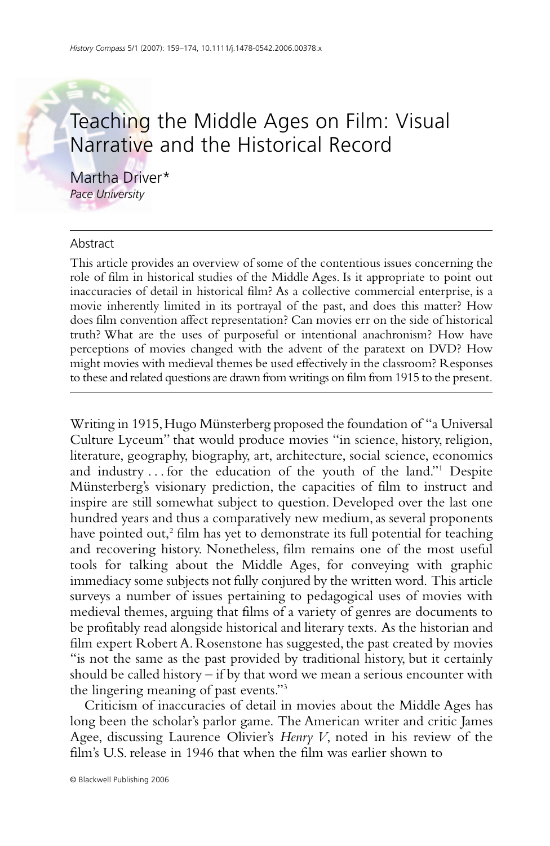# Teaching the Middle Ages on Film: Visual Narrative and the Historical Record

Martha Driver\* *Pace University*

#### Abstract

This article provides an overview of some of the contentious issues concerning the role of film in historical studies of the Middle Ages. Is it appropriate to point out inaccuracies of detail in historical film? As a collective commercial enterprise, is a movie inherently limited in its portrayal of the past, and does this matter? How does film convention affect representation? Can movies err on the side of historical truth? What are the uses of purposeful or intentional anachronism? How have perceptions of movies changed with the advent of the paratext on DVD? How might movies with medieval themes be used effectively in the classroom? Responses to these and related questions are drawn from writings on film from 1915 to the present.

Writing in 1915, Hugo Münsterberg proposed the foundation of "a Universal Culture Lyceum" that would produce movies "in science, history, religion, literature, geography, biography, art, architecture, social science, economics and industry . . . for the education of the youth of the land." 1 Despite Münsterberg's visionary prediction, the capacities of film to instruct and inspire are still somewhat subject to question. Developed over the last one hundred years and thus a comparatively new medium, as several proponents have pointed out,<sup>2</sup> film has yet to demonstrate its full potential for teaching and recovering history. Nonetheless, film remains one of the most useful tools for talking about the Middle Ages, for conveying with graphic immediacy some subjects not fully conjured by the written word. This article surveys a number of issues pertaining to pedagogical uses of movies with medieval themes, arguing that films of a variety of genres are documents to be profitably read alongside historical and literary texts. As the historian and film expert Robert A. Rosenstone has suggested, the past created by movies "is not the same as the past provided by traditional history, but it certainly should be called history – if by that word we mean a serious encounter with the lingering meaning of past events." 3

Criticism of inaccuracies of detail in movies about the Middle Ages has long been the scholar's parlor game. The American writer and critic James Agee, discussing Laurence Olivier's *Henry V*, noted in his review of the film's U.S. release in 1946 that when the film was earlier shown to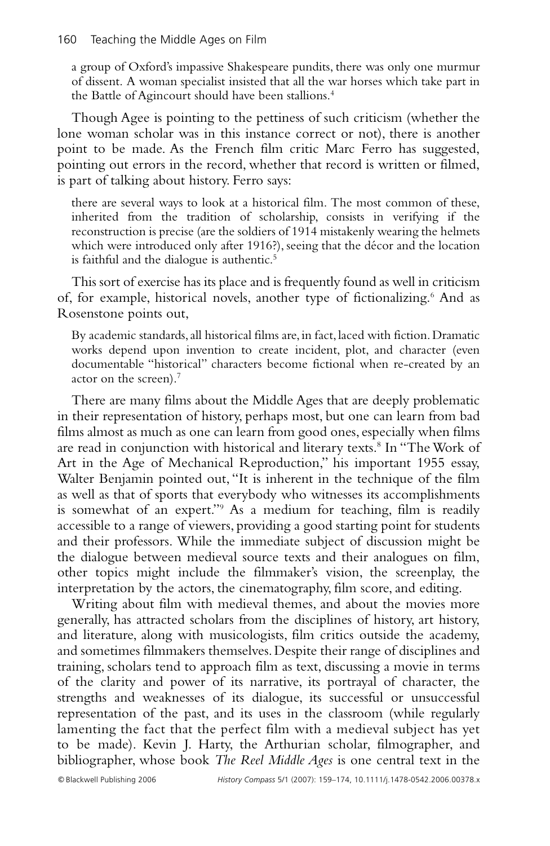a group of Oxford's impassive Shakespeare pundits, there was only one murmur of dissent. A woman specialist insisted that all the war horses which take part in the Battle of Agincourt should have been stallions.<sup>4</sup>

Though Agee is pointing to the pettiness of such criticism (whether the lone woman scholar was in this instance correct or not), there is another point to be made. As the French film critic Marc Ferro has suggested, pointing out errors in the record, whether that record is written or filmed, is part of talking about history. Ferro says:

there are several ways to look at a historical film. The most common of these, inherited from the tradition of scholarship, consists in verifying if the reconstruction is precise (are the soldiers of 1914 mistakenly wearing the helmets which were introduced only after 1916?), seeing that the décor and the location is faithful and the dialogue is authentic. 5

This sort of exercise has its place and is frequently found as well in criticism of, for example, historical novels, another type of fictionalizing.<sup>6</sup> And as Rosenstone points out,

By academic standards, all historical films are, in fact, laced with fiction. Dramatic works depend upon invention to create incident, plot, and character (even documentable "historical" characters become fictional when re-created by an actor on the screen).<sup>7</sup>

There are many films about the Middle Ages that are deeply problematic in their representation of history, perhaps most, but one can learn from bad films almost as much as one can learn from good ones, especially when films are read in conjunction with historical and literary texts.<sup>8</sup> In ''The Work of Art in the Age of Mechanical Reproduction," his important 1955 essay, Walter Benjamin pointed out, "It is inherent in the technique of the film as well as that of sports that everybody who witnesses its accomplishments is somewhat of an expert." <sup>9</sup> As a medium for teaching, film is readily accessible to a range of viewers, providing a good starting point for students and their professors. While the immediate subject of discussion might be the dialogue between medieval source texts and their analogues on film, other topics might include the filmmaker's vision, the screenplay, the interpretation by the actors, the cinematography, film score, and editing.

Writing about film with medieval themes, and about the movies more generally, has attracted scholars from the disciplines of history, art history, and literature, along with musicologists, film critics outside the academy, and sometimes filmmakers themselves. Despite their range of disciplines and training, scholars tend to approach film as text, discussing a movie in terms of the clarity and power of its narrative, its portrayal of character, the strengths and weaknesses of its dialogue, its successful or unsuccessful representation of the past, and its uses in the classroom (while regularly lamenting the fact that the perfect film with a medieval subject has yet to be made). Kevin J. Harty, the Arthurian scholar, filmographer, and bibliographer, whose book *The Reel Middle Ages* is one central text in the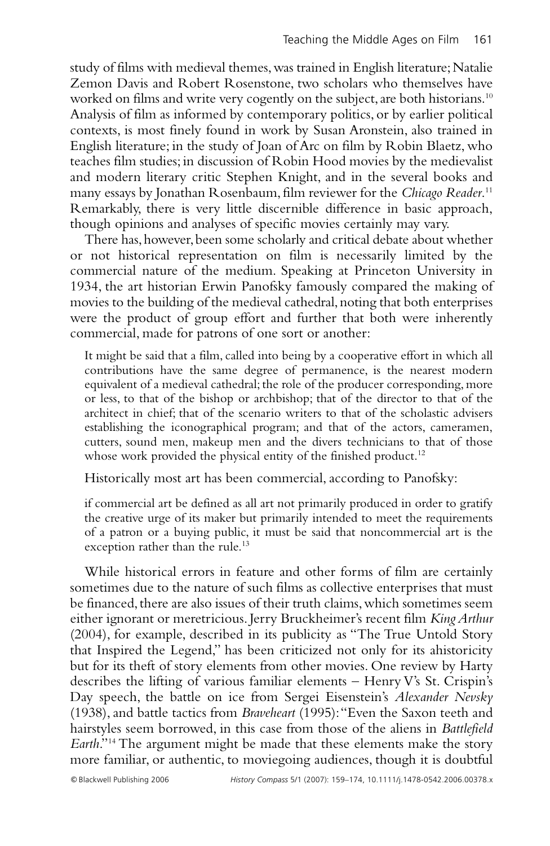study of films with medieval themes, was trained in English literature; Natalie Zemon Davis and Robert Rosenstone, two scholars who themselves have worked on films and write very cogently on the subject, are both historians.<sup>10</sup> Analysis of film as informed by contemporary politics, or by earlier political contexts, is most finely found in work by Susan Aronstein, also trained in English literature; in the study of Joan of Arc on film by Robin Blaetz, who teaches film studies; in discussion of Robin Hood movies by the medievalist and modern literary critic Stephen Knight, and in the several books and many essays by Jonathan Rosenbaum, film reviewer for the *Chicago Reader*. 11 Remarkably, there is very little discernible difference in basic approach, though opinions and analyses of specific movies certainly may vary.

There has, however, been some scholarly and critical debate about whether or not historical representation on film is necessarily limited by the commercial nature of the medium. Speaking at Princeton University in 1934, the art historian Erwin Panofsky famously compared the making of movies to the building of the medieval cathedral, noting that both enterprises were the product of group effort and further that both were inherently commercial, made for patrons of one sort or another:

It might be said that a film, called into being by a cooperative effort in which all contributions have the same degree of permanence, is the nearest modern equivalent of a medieval cathedral; the role of the producer corresponding, more or less, to that of the bishop or archbishop; that of the director to that of the architect in chief; that of the scenario writers to that of the scholastic advisers establishing the iconographical program; and that of the actors, cameramen, cutters, sound men, makeup men and the divers technicians to that of those whose work provided the physical entity of the finished product.<sup>12</sup>

Historically most art has been commercial, according to Panofsky:

if commercial art be defined as all art not primarily produced in order to gratify the creative urge of its maker but primarily intended to meet the requirements of a patron or a buying public, it must be said that noncommercial art is the exception rather than the rule.<sup>13</sup>

While historical errors in feature and other forms of film are certainly sometimes due to the nature of such films as collective enterprises that must be financed, there are also issues of their truth claims, which sometimes seem either ignorant or meretricious. Jerry Bruckheimer's recent film *King Arthur* (2004), for example, described in its publicity as "The True Untold Story that Inspired the Legend," has been criticized not only for its ahistoricity but for its theft of story elements from other movies. One review by Harty describes the lifting of various familiar elements – Henry V's St. Crispin's Day speech, the battle on ice from Sergei Eisenstein's *Alexander Nevsky* (1938), and battle tactics from *Braveheart* (1995):"Even the Saxon teeth and hairstyles seem borrowed, in this case from those of the aliens in *Battlefield Earth*." <sup>14</sup> The argument might be made that these elements make the story more familiar, or authentic, to moviegoing audiences, though it is doubtful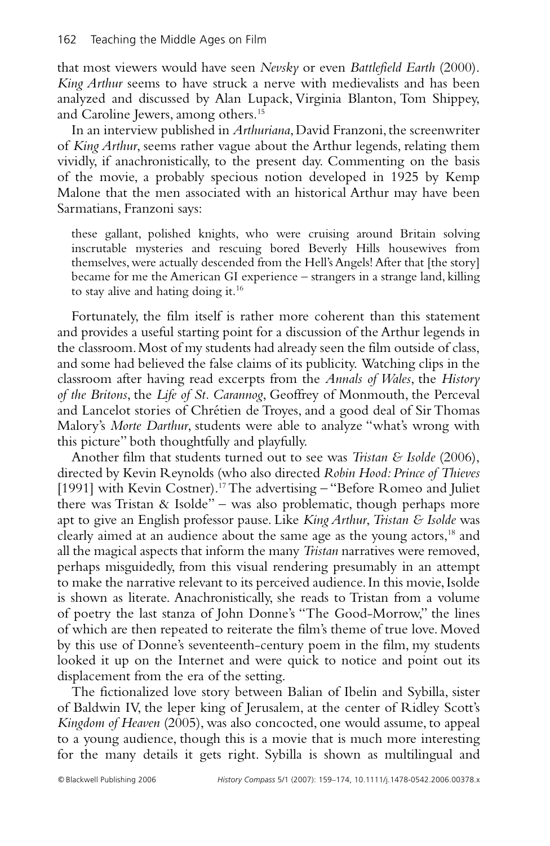that most viewers would have seen *Nevsky* or even *Battlefield Earth* (2000). *King Arthur* seems to have struck a nerve with medievalists and has been analyzed and discussed by Alan Lupack, Virginia Blanton, Tom Shippey, and Caroline Jewers, among others.<sup>15</sup>

In an interview published in *Arthuriana*, David Franzoni, the screenwriter of *King Arthur*, seems rather vague about the Arthur legends, relating them vividly, if anachronistically, to the present day. Commenting on the basis of the movie, a probably specious notion developed in 1925 by Kemp Malone that the men associated with an historical Arthur may have been Sarmatians, Franzoni says:

these gallant, polished knights, who were cruising around Britain solving inscrutable mysteries and rescuing bored Beverly Hills housewives from themselves, were actually descended from the Hell's Angels! After that [the story] became for me the American GI experience – strangers in a strange land, killing to stay alive and hating doing it.<sup>16</sup>

Fortunately, the film itself is rather more coherent than this statement and provides a useful starting point for a discussion of the Arthur legends in the classroom. Most of my students had already seen the film outside of class, and some had believed the false claims of its publicity. Watching clips in the classroom after having read excerpts from the *Annals of Wales*, the *History of the Britons*, the *Life of St. Carannog*, Geoffrey of Monmouth, the Perceval and Lancelot stories of Chrétien de Troyes, and a good deal of Sir Thomas Malory's *Morte Darthur*, students were able to analyze "what's wrong with this picture" both thoughtfully and playfully.

Another film that students turned out to see was *Tristan & Isolde* (2006), directed by Kevin Reynolds (who also directed *Robin Hood: Prince of Thieves* [1991] with Kevin Costner).<sup>17</sup> The advertising - "Before Romeo and Juliet there was Tristan & Isolde" – was also problematic, though perhaps more apt to give an English professor pause. Like *King Arthur*, *Tristan & Isolde* was clearly aimed at an audience about the same age as the young actors,<sup>18</sup> and all the magical aspects that inform the many *Tristan* narratives were removed, perhaps misguidedly, from this visual rendering presumably in an attempt to make the narrative relevant to its perceived audience. In this movie, Isolde is shown as literate. Anachronistically, she reads to Tristan from a volume of poetry the last stanza of John Donne's "The Good-Morrow," the lines of which are then repeated to reiterate the film's theme of true love. Moved by this use of Donne's seventeenth-century poem in the film, my students looked it up on the Internet and were quick to notice and point out its displacement from the era of the setting.

The fictionalized love story between Balian of Ibelin and Sybilla, sister of Baldwin IV, the leper king of Jerusalem, at the center of Ridley Scott's *Kingdom of Heaven* (2005), was also concocted, one would assume, to appeal to a young audience, though this is a movie that is much more interesting for the many details it gets right. Sybilla is shown as multilingual and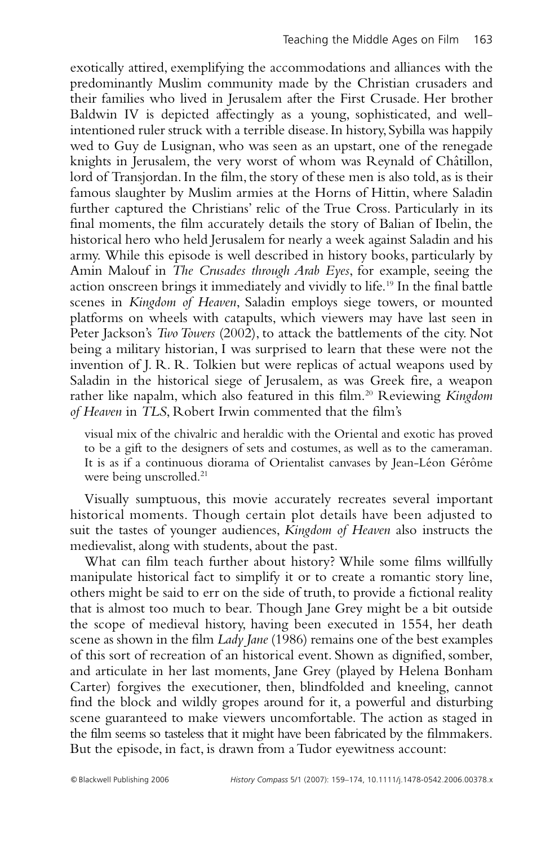exotically attired, exemplifying the accommodations and alliances with the predominantly Muslim community made by the Christian crusaders and their families who lived in Jerusalem after the First Crusade. Her brother Baldwin IV is depicted affectingly as a young, sophisticated, and wellintentioned ruler struck with a terrible disease. In history, Sybilla was happily wed to Guy de Lusignan, who was seen as an upstart, one of the renegade knights in Jerusalem, the very worst of whom was Reynald of Châtillon, lord of Transjordan. In the film, the story of these men is also told, as is their famous slaughter by Muslim armies at the Horns of Hittin, where Saladin further captured the Christians' relic of the True Cross. Particularly in its final moments, the film accurately details the story of Balian of Ibelin, the historical hero who held Jerusalem for nearly a week against Saladin and his army. While this episode is well described in history books, particularly by Amin Malouf in *The Crusades through Arab Eyes*, for example, seeing the action onscreen brings it immediately and vividly to life. <sup>19</sup> In the final battle scenes in *Kingdom of Heaven*, Saladin employs siege towers, or mounted platforms on wheels with catapults, which viewers may have last seen in Peter Jackson's *Two Towers* (2002), to attack the battlements of the city. Not being a military historian, I was surprised to learn that these were not the invention of J. R. R. Tolkien but were replicas of actual weapons used by Saladin in the historical siege of Jerusalem, as was Greek fire, a weapon rather like napalm, which also featured in this film.<sup>20</sup> Reviewing *Kingdom of Heaven* in *TLS*, Robert Irwin commented that the film's

visual mix of the chivalric and heraldic with the Oriental and exotic has proved to be a gift to the designers of sets and costumes, as well as to the cameraman. It is as if a continuous diorama of Orientalist canvases by Jean-Léon Gérôme were being unscrolled.<sup>21</sup>

Visually sumptuous, this movie accurately recreates several important historical moments. Though certain plot details have been adjusted to suit the tastes of younger audiences, *Kingdom of Heaven* also instructs the medievalist, along with students, about the past.

What can film teach further about history? While some films willfully manipulate historical fact to simplify it or to create a romantic story line, others might be said to err on the side of truth, to provide a fictional reality that is almost too much to bear. Though Jane Grey might be a bit outside the scope of medieval history, having been executed in 1554, her death scene as shown in the film *Lady Jane* (1986) remains one of the best examples of this sort of recreation of an historical event. Shown as dignified, somber, and articulate in her last moments, Jane Grey (played by Helena Bonham Carter) forgives the executioner, then, blindfolded and kneeling, cannot find the block and wildly gropes around for it, a powerful and disturbing scene guaranteed to make viewers uncomfortable. The action as staged in the film seems so tasteless that it might have been fabricated by the filmmakers. But the episode, in fact, is drawn from a Tudor eyewitness account: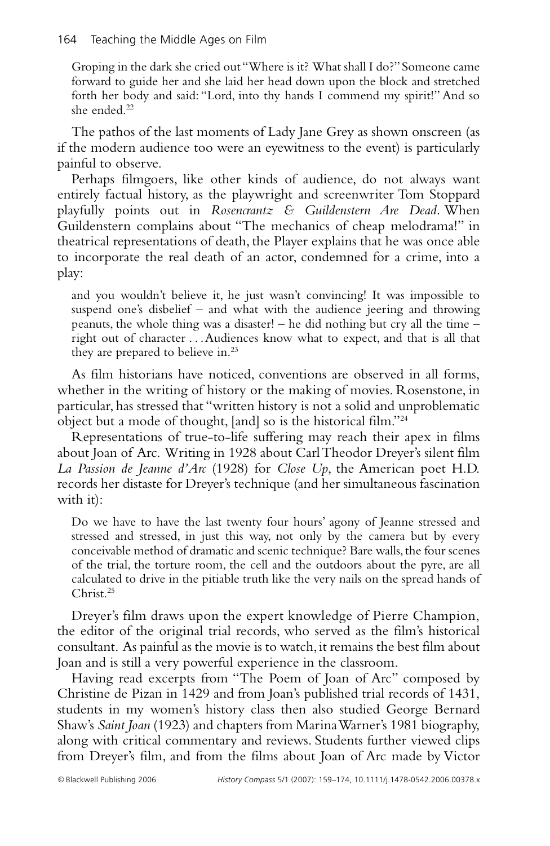Groping in the dark she cried out "Where is it? What shall I do?" Someone came forward to guide her and she laid her head down upon the block and stretched forth her body and said: "Lord, into thy hands I commend my spirit!" And so she ended.<sup>22</sup>

The pathos of the last moments of Lady Jane Grey as shown onscreen (as if the modern audience too were an eyewitness to the event) is particularly painful to observe.

Perhaps filmgoers, like other kinds of audience, do not always want entirely factual history, as the playwright and screenwriter Tom Stoppard playfully points out in *Rosencrantz & Guildenstern Are Dead*. When Guildenstern complains about "The mechanics of cheap melodrama!" in theatrical representations of death, the Player explains that he was once able to incorporate the real death of an actor, condemned for a crime, into a play:

and you wouldn't believe it, he just wasn't convincing! It was impossible to suspend one's disbelief – and what with the audience jeering and throwing peanuts, the whole thing was a disaster! – he did nothing but cry all the time – right out of character . . .Audiences know what to expect, and that is all that they are prepared to believe in.<sup>23</sup>

As film historians have noticed, conventions are observed in all forms, whether in the writing of history or the making of movies. Rosenstone, in particular, has stressed that "written history is not a solid and unproblematic object but a mode of thought, [and] so is the historical film." 24

Representations of true-to-life suffering may reach their apex in films about Joan of Arc. Writing in 1928 about Carl Theodor Dreyer's silent film *La Passion de Jeanne d'Arc* (1928) for *Close Up*, the American poet H.D. records her distaste for Dreyer's technique (and her simultaneous fascination with it):

Do we have to have the last twenty four hours' agony of Jeanne stressed and stressed and stressed, in just this way, not only by the camera but by every conceivable method of dramatic and scenic technique? Bare walls, the four scenes of the trial, the torture room, the cell and the outdoors about the pyre, are all calculated to drive in the pitiable truth like the very nails on the spread hands of Christ.<sup>25</sup>

Dreyer's film draws upon the expert knowledge of Pierre Champion, the editor of the original trial records, who served as the film's historical consultant. As painful as the movie is to watch, it remains the best film about Joan and is still a very powerful experience in the classroom.

Having read excerpts from "The Poem of Joan of Arc" composed by Christine de Pizan in 1429 and from Joan's published trial records of 1431, students in my women's history class then also studied George Bernard Shaw's *Saint Joan* (1923) and chapters from Marina Warner's 1981 biography, along with critical commentary and reviews. Students further viewed clips from Dreyer's film, and from the films about Joan of Arc made by Victor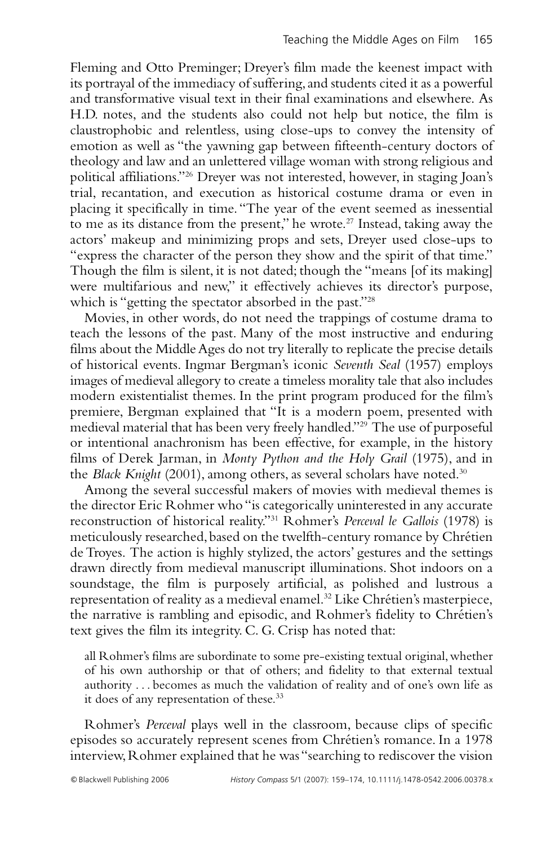Fleming and Otto Preminger; Dreyer's film made the keenest impact with its portrayal of the immediacy of suffering, and students cited it as a powerful and transformative visual text in their final examinations and elsewhere. As H.D. notes, and the students also could not help but notice, the film is claustrophobic and relentless, using close-ups to convey the intensity of emotion as well as "the yawning gap between fifteenth-century doctors of theology and law and an unlettered village woman with strong religious and political affiliations." <sup>26</sup> Dreyer was not interested, however, in staging Joan's trial, recantation, and execution as historical costume drama or even in placing it specifically in time. "The year of the event seemed as inessential to me as its distance from the present," he wrote. <sup>27</sup> Instead, taking away the actors' makeup and minimizing props and sets, Dreyer used close-ups to "express the character of the person they show and the spirit of that time." Though the film is silent, it is not dated; though the "means [of its making] were multifarious and new," it effectively achieves its director's purpose, which is "getting the spectator absorbed in the past." 28

Movies, in other words, do not need the trappings of costume drama to teach the lessons of the past. Many of the most instructive and enduring films about the Middle Ages do not try literally to replicate the precise details of historical events. Ingmar Bergman's iconic *Seventh Seal* (1957) employs images of medieval allegory to create a timeless morality tale that also includes modern existentialist themes. In the print program produced for the film's premiere, Bergman explained that "It is a modern poem, presented with medieval material that has been very freely handled." <sup>29</sup> The use of purposeful or intentional anachronism has been effective, for example, in the history films of Derek Jarman, in *Monty Python and the Holy Grail* (1975), and in the *Black Knight* (2001), among others, as several scholars have noted.<sup>30</sup>

Among the several successful makers of movies with medieval themes is the director Eric Rohmer who "is categorically uninterested in any accurate reconstruction of historical reality." <sup>31</sup> Rohmer's *Perceval le Gallois* (1978) is meticulously researched, based on the twelfth-century romance by Chrétien de Troyes. The action is highly stylized, the actors' gestures and the settings drawn directly from medieval manuscript illuminations. Shot indoors on a soundstage, the film is purposely artificial, as polished and lustrous a representation of reality as a medieval enamel.32 Like Chrétien's masterpiece, the narrative is rambling and episodic, and Rohmer's fidelity to Chrétien's text gives the film its integrity. C. G. Crisp has noted that:

all Rohmer's films are subordinate to some pre-existing textual original, whether of his own authorship or that of others; and fidelity to that external textual authority . . . becomes as much the validation of reality and of one's own life as it does of any representation of these. 33

Rohmer's *Perceval* plays well in the classroom, because clips of specific episodes so accurately represent scenes from Chrétien's romance. In a 1978 interview, Rohmer explained that he was "searching to rediscover the vision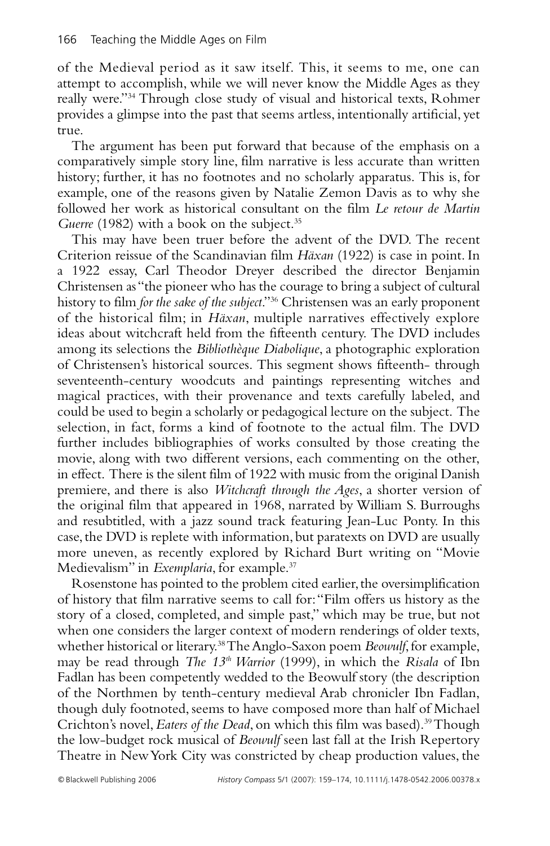of the Medieval period as it saw itself. This, it seems to me, one can attempt to accomplish, while we will never know the Middle Ages as they really were." <sup>34</sup> Through close study of visual and historical texts, Rohmer provides a glimpse into the past that seems artless, intentionally artificial, yet true.

The argument has been put forward that because of the emphasis on a comparatively simple story line, film narrative is less accurate than written history; further, it has no footnotes and no scholarly apparatus. This is, for example, one of the reasons given by Natalie Zemon Davis as to why she followed her work as historical consultant on the film *Le retour de Martin Guerre* (1982) with a book on the subject.<sup>35</sup>

This may have been truer before the advent of the DVD. The recent Criterion reissue of the Scandinavian film *Häxan* (1922) is case in point. In a 1922 essay, Carl Theodor Dreyer described the director Benjamin Christensen as "the pioneer who has the courage to bring a subject of cultural history to film *for the sake of the subject*." <sup>36</sup> Christensen was an early proponent of the historical film; in *Häxan*, multiple narratives effectively explore ideas about witchcraft held from the fifteenth century. The DVD includes among its selections the *Bibliothèque Diabolique*, a photographic exploration of Christensen's historical sources. This segment shows fifteenth- through seventeenth-century woodcuts and paintings representing witches and magical practices, with their provenance and texts carefully labeled, and could be used to begin a scholarly or pedagogical lecture on the subject. The selection, in fact, forms a kind of footnote to the actual film. The DVD further includes bibliographies of works consulted by those creating the movie, along with two different versions, each commenting on the other, in effect. There is the silent film of 1922 with music from the original Danish premiere, and there is also *Witchcraft through the Ages*, a shorter version of the original film that appeared in 1968, narrated by William S. Burroughs and resubtitled, with a jazz sound track featuring Jean-Luc Ponty. In this case, the DVD is replete with information, but paratexts on DVD are usually more uneven, as recently explored by Richard Burt writing on "Movie Medievalism" in *Exemplaria*, for example. 37

Rosenstone has pointed to the problem cited earlier, the oversimplification of history that film narrative seems to call for:"Film offers us history as the story of a closed, completed, and simple past," which may be true, but not when one considers the larger context of modern renderings of older texts, whether historical or literary. <sup>38</sup>The Anglo-Saxon poem *Beowulf*, for example, may be read through *The 13th Warrior* (1999), in which the *Risala* of Ibn Fadlan has been competently wedded to the Beowulf story (the description of the Northmen by tenth-century medieval Arab chronicler Ibn Fadlan, though duly footnoted, seems to have composed more than half of Michael Crichton's novel, *Eaters of the Dead*, on which this film was based).<sup>39</sup>Though the low-budget rock musical of *Beowulf* seen last fall at the Irish Repertory Theatre in New York City was constricted by cheap production values, the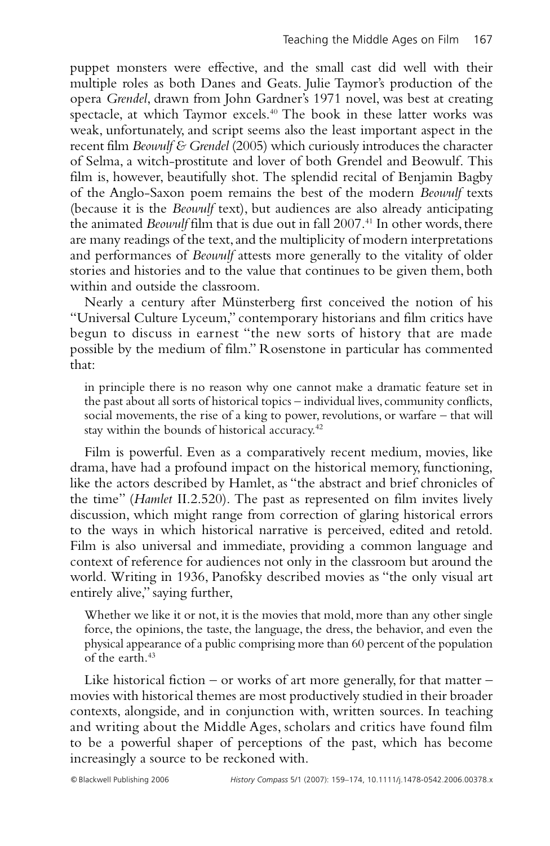puppet monsters were effective, and the small cast did well with their multiple roles as both Danes and Geats. Julie Taymor's production of the opera *Grendel*, drawn from John Gardner's 1971 novel, was best at creating spectacle, at which Taymor excels.<sup>40</sup> The book in these latter works was weak, unfortunately, and script seems also the least important aspect in the recent film *Beowulf & Grendel* (2005) which curiously introduces the character of Selma, a witch-prostitute and lover of both Grendel and Beowulf. This film is, however, beautifully shot. The splendid recital of Benjamin Bagby of the Anglo-Saxon poem remains the best of the modern *Beowulf* texts (because it is the *Beowulf* text), but audiences are also already anticipating the animated *Beowulf* film that is due out in fall 2007.<sup>41</sup> In other words, there are many readings of the text, and the multiplicity of modern interpretations and performances of *Beowulf* attests more generally to the vitality of older stories and histories and to the value that continues to be given them, both within and outside the classroom.

Nearly a century after Münsterberg first conceived the notion of his "Universal Culture Lyceum," contemporary historians and film critics have begun to discuss in earnest "the new sorts of history that are made possible by the medium of film." Rosenstone in particular has commented that:

in principle there is no reason why one cannot make a dramatic feature set in the past about all sorts of historical topics – individual lives, community conflicts, social movements, the rise of a king to power, revolutions, or warfare – that will stay within the bounds of historical accuracy. 42

Film is powerful. Even as a comparatively recent medium, movies, like drama, have had a profound impact on the historical memory, functioning, like the actors described by Hamlet, as "the abstract and brief chronicles of the time" (*Hamlet* II.2.520). The past as represented on film invites lively discussion, which might range from correction of glaring historical errors to the ways in which historical narrative is perceived, edited and retold. Film is also universal and immediate, providing a common language and context of reference for audiences not only in the classroom but around the world. Writing in 1936, Panofsky described movies as "the only visual art entirely alive," saying further,

Whether we like it or not, it is the movies that mold, more than any other single force, the opinions, the taste, the language, the dress, the behavior, and even the physical appearance of a public comprising more than 60 percent of the population of the earth.<sup>43</sup>

Like historical fiction – or works of art more generally, for that matter – movies with historical themes are most productively studied in their broader contexts, alongside, and in conjunction with, written sources. In teaching and writing about the Middle Ages, scholars and critics have found film to be a powerful shaper of perceptions of the past, which has become increasingly a source to be reckoned with.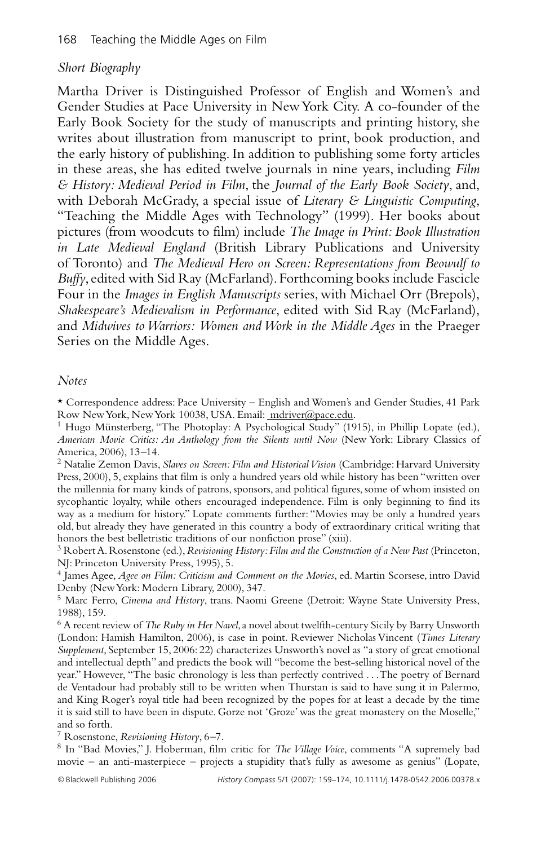## *Short Biography*

Martha Driver is Distinguished Professor of English and Women's and Gender Studies at Pace University in New York City. A co-founder of the Early Book Society for the study of manuscripts and printing history, she writes about illustration from manuscript to print, book production, and the early history of publishing. In addition to publishing some forty articles in these areas, she has edited twelve journals in nine years, including *Film & History: Medieval Period in Film*, the *Journal of the Early Book Society*, and, with Deborah McGrady, a special issue of *Literary & Linguistic Computing*, "Teaching the Middle Ages with Technology" (1999). Her books about pictures (from woodcuts to film) include *The Image in Print: Book Illustration in Late Medieval England* (British Library Publications and University of Toronto) and *The Medieval Hero on Screen: Representations from Beowulf to Buffy*, edited with Sid Ray (McFarland). Forthcoming books include Fascicle Four in the *Images in English Manuscripts* series, with Michael Orr (Brepols), *Shakespeare's Medievalism in Performance*, edited with Sid Ray (McFarland), and *Midwives to Warriors: Women and Work in the Middle Ages* in the Praeger Series on the Middle Ages.

#### *Notes*

\* Correspondence address: Pace University – English and Women's and Gender Studies, 41 Park Row New York, New York 10038, USA. Email: mdriver@pace.edu.

<sup>1</sup> Hugo Münsterberg, "The Photoplay: A Psychological Study" (1915), in Phillip Lopate (ed.), *American Movie Critics: An Anthology from the Silents until Now* (New York: Library Classics of America, 2006), 13–14.

<sup>2</sup> Natalie Zemon Davis, *Slaves on Screen: Film and Historical Vision* (Cambridge: Harvard University Press, 2000), 5, explains that film is only a hundred years old while history has been "written over the millennia for many kinds of patrons, sponsors, and political figures, some of whom insisted on sycophantic loyalty, while others encouraged independence. Film is only beginning to find its way as a medium for history." Lopate comments further: "Movies may be only a hundred years old, but already they have generated in this country a body of extraordinary critical writing that honors the best belletristic traditions of our nonfiction prose" (xiii).

<sup>3</sup> Robert A. Rosenstone (ed.),*Revisioning History: Film and the Construction of a New Past* (Princeton, NJ: Princeton University Press, 1995), 5.

4 James Agee, *Agee on Film: Criticism and Comment on the Movies*, ed. Martin Scorsese, intro David Denby (New York: Modern Library, 2000), 347.

<sup>5</sup> Marc Ferro, *Cinema and History*, trans. Naomi Greene (Detroit: Wayne State University Press, 1988), 159.

<sup>6</sup> A recent review of *The Ruby in Her Navel*, a novel about twelfth-century Sicily by Barry Unsworth (London: Hamish Hamilton, 2006), is case in point. Reviewer Nicholas Vincent (*Times Literary Supplement*, September 15, 2006: 22) characterizes Unsworth's novel as "a story of great emotional and intellectual depth" and predicts the book will "become the best-selling historical novel of the year." However, "The basic chronology is less than perfectly contrived . . .The poetry of Bernard de Ventadour had probably still to be written when Thurstan is said to have sung it in Palermo, and King Roger's royal title had been recognized by the popes for at least a decade by the time it is said still to have been in dispute. Gorze not 'Groze' was the great monastery on the Moselle," and so forth.

<sup>7</sup> Rosenstone, *Revisioning History*, 6–7.

8 In "Bad Movies," J. Hoberman, film critic for *The Village Voice*, comments "A supremely bad movie – an anti-masterpiece – projects a stupidity that's fully as awesome as genius" (Lopate,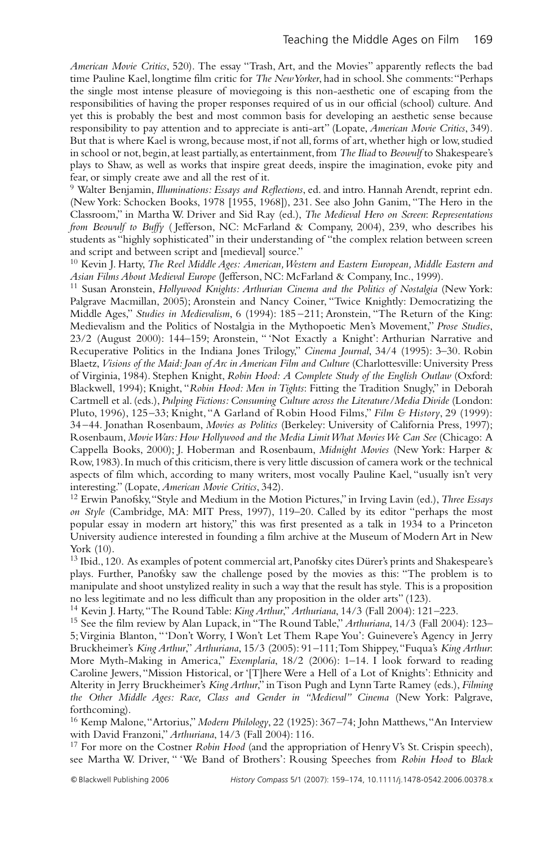*American Movie Critics*, 520). The essay "Trash, Art, and the Movies" apparently reflects the bad time Pauline Kael, longtime film critic for *The New Yorker*, had in school. She comments:"Perhaps the single most intense pleasure of moviegoing is this non-aesthetic one of escaping from the responsibilities of having the proper responses required of us in our official (school) culture. And yet this is probably the best and most common basis for developing an aesthetic sense because responsibility to pay attention and to appreciate is anti-art" (Lopate, *American Movie Critics*, 349). But that is where Kael is wrong, because most, if not all, forms of art, whether high or low, studied in school or not, begin, at least partially, as entertainment, from *The Iliad* to *Beowulf* to Shakespeare's plays to Shaw, as well as works that inspire great deeds, inspire the imagination, evoke pity and fear, or simply create awe and all the rest of it.

<sup>9</sup> Walter Benjamin, *Illuminations: Essays and Reflections*, ed. and intro. Hannah Arendt, reprint edn. (New York: Schocken Books, 1978 [1955, 1968]), 231. See also John Ganim, "The Hero in the Classroom," in Martha W. Driver and Sid Ray (ed.), *The Medieval Hero on Screen*: *Representations from Beowulf to Buffy* ( Jefferson, NC: McFarland & Company, 2004), 239, who describes his students as "highly sophisticated" in their understanding of "the complex relation between screen and script and between script and [medieval] source."

<sup>10</sup> Kevin J. Harty, *The Reel Middle Ages: American,Western and Eastern European, Middle Eastern and Asian Films About Medieval Europe* (Jefferson, NC: McFarland & Company, Inc., 1999).

<sup>11</sup> Susan Aronstein, *Hollywood Knights: Arthurian Cinema and the Politics of Nostalgia* (New York: Palgrave Macmillan, 2005); Aronstein and Nancy Coiner, "Twice Knightly: Democratizing the Middle Ages," *Studies in Medievalism*, 6 (1994): 185 –211; Aronstein, "The Return of the King: Medievalism and the Politics of Nostalgia in the Mythopoetic Men's Movement," *Prose Studies*, 23/2 (August 2000): 144–159; Aronstein, " 'Not Exactly a Knight': Arthurian Narrative and Recuperative Politics in the Indiana Jones Trilogy," *Cinema Journal*, 34/4 (1995): 3–30. Robin Blaetz,*Visions of the Maid: Joan of Arc in American Film and Culture* (Charlottesville: University Press of Virginia, 1984). Stephen Knight, *Robin Hood: A Complete Study of the English Outlaw* (Oxford: Blackwell, 1994); Knight, "*Robin Hood: Men in Tights*: Fitting the Tradition Snugly," in Deborah Cartmell et al. (eds.), *Pulping Fictions: Consuming Culture across the Literature/Media Divide* (London: Pluto, 1996), 125–33; Knight, "A Garland of Robin Hood Films," *Film & History*, 29 (1999): 34 –44. Jonathan Rosenbaum, *Movies as Politics* (Berkeley: University of California Press, 1997); Rosenbaum, *Movie Wars: How Hollywood and the Media Limit What Movies We Can See* (Chicago: A Cappella Books, 2000); J. Hoberman and Rosenbaum, *Midnight Movies* (New York: Harper & Row, 1983). In much of this criticism, there is very little discussion of camera work or the technical aspects of film which, according to many writers, most vocally Pauline Kael, "usually isn't very interesting." (Lopate, *American Movie Critics*, 342).

<sup>12</sup> Erwin Panofsky,"Style and Medium in the Motion Pictures," in Irving Lavin (ed.),*Three Essays on Style* (Cambridge, MA: MIT Press, 1997), 119–20. Called by its editor "perhaps the most popular essay in modern art history," this was first presented as a talk in 1934 to a Princeton University audience interested in founding a film archive at the Museum of Modern Art in New York (10).

<sup>13</sup> Ibid., 120. As examples of potent commercial art, Panofsky cites Dürer's prints and Shakespeare's plays. Further, Panofsky saw the challenge posed by the movies as this: "The problem is to manipulate and shoot unstylized reality in such a way that the result has style. This is a proposition no less legitimate and no less difficult than any proposition in the older arts" (123).

<sup>14</sup> Kevin J. Harty,"The Round Table: *King Arthur*," *Arthuriana*, 14/3 (Fall 2004): 121–223.

<sup>15</sup> See the film review by Alan Lupack, in "The Round Table," *Arthuriana*, 14/3 (Fall 2004): 123– 5;Virginia Blanton, "'Don't Worry, I Won't Let Them Rape You': Guinevere's Agency in Jerry Bruckheimer's *King Arthur*," *Arthuriana*, 15/3 (2005): 91–111;Tom Shippey,"Fuqua's *King Arthur*: More Myth-Making in America," *Exemplaria*, 18/2 (2006): 1–14. I look forward to reading Caroline Jewers,"Mission Historical, or '[T]here Were a Hell of a Lot of Knights': Ethnicity and Alterity in Jerry Bruckheimer's *King Arthur*," in Tison Pugh and Lynn Tarte Ramey (eds.), *Filming the Other Middle Ages: Race, Class and Gender in "Medieval" Cinema* (New York: Palgrave, forthcoming).

<sup>16</sup> Kemp Malone,"Artorius," *Modern Philology*, 22 (1925): 367–74; John Matthews,"An Interview with David Franzoni," *Arthuriana*, 14/3 (Fall 2004): 116.

<sup>17</sup> For more on the Costner *Robin Hood* (and the appropriation of Henry V's St. Crispin speech), see Martha W. Driver, " 'We Band of Brothers': Rousing Speeches from *Robin Hood* to *Black*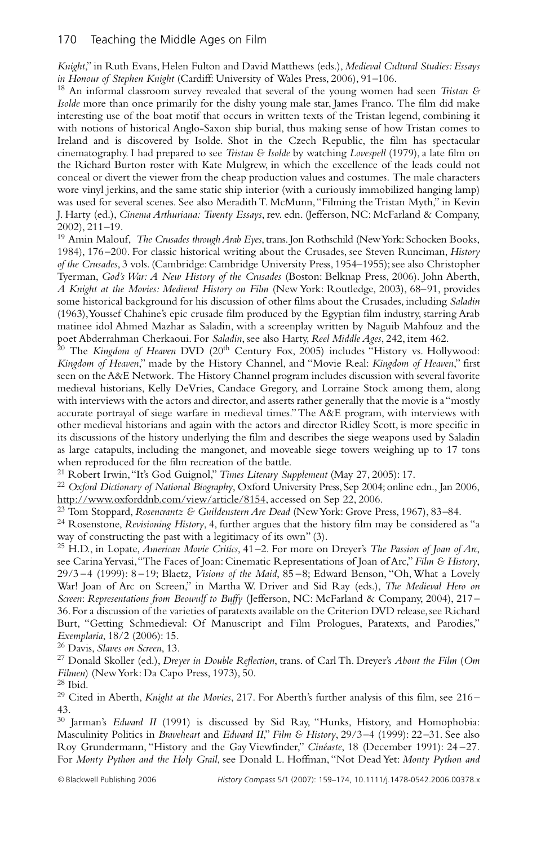*Knight*," in Ruth Evans, Helen Fulton and David Matthews (eds.), *Medieval Cultural Studies: Essays in Honour of Stephen Knight* (Cardiff: University of Wales Press, 2006), 91–106.

<sup>18</sup> An informal classroom survey revealed that several of the young women had seen *Tristan & Isolde* more than once primarily for the dishy young male star, James Franco. The film did make interesting use of the boat motif that occurs in written texts of the Tristan legend, combining it with notions of historical Anglo-Saxon ship burial, thus making sense of how Tristan comes to Ireland and is discovered by Isolde. Shot in the Czech Republic, the film has spectacular cinematography. I had prepared to see *Tristan & Isolde* by watching *Lovespell* (1979), a late film on the Richard Burton roster with Kate Mulgrew, in which the excellence of the leads could not conceal or divert the viewer from the cheap production values and costumes. The male characters wore vinyl jerkins, and the same static ship interior (with a curiously immobilized hanging lamp) was used for several scenes. See also Meradith T. McMunn,"Filming the Tristan Myth," in Kevin J. Harty (ed.), *Cinema Arthuriana: Twenty Essays*, rev. edn. (Jefferson, NC: McFarland & Company, 2002), 211–19.

<sup>19</sup> Amin Malouf, *The Crusades through Arab Eyes*, trans. Jon Rothschild (New York: Schocken Books, 1984), 176–200. For classic historical writing about the Crusades, see Steven Runciman, *History of the Crusades*, 3 vols. (Cambridge: Cambridge University Press, 1954–1955); see also Christopher Tyerman, *God's War: A New History of the Crusades* (Boston: Belknap Press, 2006). John Aberth, *A Knight at the Movies: Medieval History on Film* (New York: Routledge, 2003), 68–91, provides some historical background for his discussion of other films about the Crusades, including *Saladin* (1963),Youssef Chahine's epic crusade film produced by the Egyptian film industry, starring Arab matinee idol Ahmed Mazhar as Saladin, with a screenplay written by Naguib Mahfouz and the poet Abderrahman Cherkaoui. For *Saladin*, see also Harty, *Reel Middle Ages*, 242, item 462.

<sup>20</sup> The *Kingdom of Heaven* DVD (20<sup>th</sup> Century Fox, 2005) includes "History vs. Hollywood: *Kingdom of Heaven*," made by the History Channel, and "Movie Real: *Kingdom of Heaven*," first seen on the A&E Network. The History Channel program includes discussion with several favorite medieval historians, Kelly DeVries, Candace Gregory, and Lorraine Stock among them, along with interviews with the actors and director, and asserts rather generally that the movie is a "mostly accurate portrayal of siege warfare in medieval times."The A&E program, with interviews with other medieval historians and again with the actors and director Ridley Scott, is more specific in its discussions of the history underlying the film and describes the siege weapons used by Saladin as large catapults, including the mangonet, and moveable siege towers weighing up to 17 tons when reproduced for the film recreation of the battle.

<sup>21</sup> Robert Irwin,"It's God Guignol," *Times Literary Supplement* (May 27, 2005): 17.

<sup>22</sup> *Oxford Dictionary of National Biography*, Oxford University Press, Sep 2004; online edn., Jan 2006, http://www.oxforddnb.com/view/article/8154, accessed on Sep 22, 2006.

<sup>23</sup> Tom Stoppard, *Rosencrantz & Guildenstern Are Dead* (New York: Grove Press, 1967), 83–84.

<sup>24</sup> Rosenstone, *Revisioning History*, 4, further argues that the history film may be considered as "a way of constructing the past with a legitimacy of its own" (3).

<sup>25</sup> H.D., in Lopate, *American Movie Critics*, 41–2. For more on Dreyer's *The Passion of Joan of Arc*, see Carina Yervasi,"The Faces of Joan: Cinematic Representations of Joan of Arc," *Film & History*, 29/3 –4 (1999): 8 –19; Blaetz, *Visions of the Maid*, 85 –8; Edward Benson, "Oh,What a Lovely War! Joan of Arc on Screen," in Martha W. Driver and Sid Ray (eds.), *The Medieval Hero on Screen*: *Representations from Beowulf to Buffy* (Jefferson, NC: McFarland & Company, 2004), 217 – 36. For a discussion of the varieties of paratexts available on the Criterion DVD release, see Richard Burt, "Getting Schmedieval: Of Manuscript and Film Prologues, Paratexts, and Parodies," *Exemplaria*, 18/2 (2006): 15.

<sup>26</sup> Davis, *Slaves on Screen*, 13.

<sup>27</sup> Donald Skoller (ed.), *Dreyer in Double Reflection*, trans. of Carl Th. Dreyer's *About the Film* (*Om Filmen*) (New York: Da Capo Press, 1973), 50.

 $^{\rm 28}$  Ibid.

<sup>29</sup> Cited in Aberth, *Knight at the Movies*, 217. For Aberth's further analysis of this film, see 216 – 43.

<sup>30</sup> Jarman's *Edward II* (1991) is discussed by Sid Ray, "Hunks, History, and Homophobia: Masculinity Politics in *Braveheart* and *Edward II*," *Film & History*, 29/3–4 (1999): 22–31. See also Roy Grundermann, "History and the Gay Viewfinder," *Cinéaste*, 18 (December 1991): 24 –27. For *Monty Python and the Holy Grail*, see Donald L. Hoffman, "Not Dead Yet: *Monty Python and*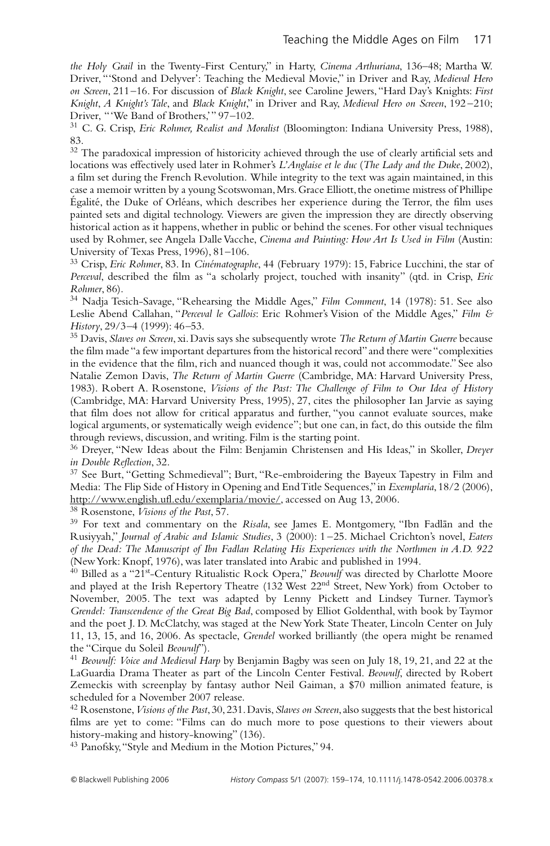*the Holy Grail* in the Twenty-First Century," in Harty, *Cinema Arthuriana*, 136–48; Martha W. Driver, "'Stond and Delyver': Teaching the Medieval Movie," in Driver and Ray, *Medieval Hero on Screen*, 211–16. For discussion of *Black Knight*, see Caroline Jewers,"Hard Day's Knights: *First Knight*, *A Knight's Tale*, and *Black Knight*," in Driver and Ray, *Medieval Hero on Screen*, 192 –210; Driver, "'We Band of Brothers,'" 97–102.

<sup>31</sup> C. G. Crisp, *Eric Rohmer, Realist and Moralist* (Bloomington: Indiana University Press, 1988), 83.

<sup>32</sup> The paradoxical impression of historicity achieved through the use of clearly artificial sets and locations was effectively used later in Rohmer's *L'Anglaise et le duc* (*The Lady and the Duke*, 2002), a film set during the French Revolution. While integrity to the text was again maintained, in this case a memoir written by a young Scotswoman, Mrs. Grace Elliott, the onetime mistress of Phillipe Égalité, the Duke of Orléans, which describes her experience during the Terror, the film uses painted sets and digital technology. Viewers are given the impression they are directly observing historical action as it happens, whether in public or behind the scenes. For other visual techniques used by Rohmer, see Angela Dalle Vacche, *Cinema and Painting: How Art Is Used in Film* (Austin: University of Texas Press, 1996), 81–106.

<sup>33</sup> Crisp, *Eric Rohmer*, 83. In *Cinématographe*, 44 (February 1979): 15, Fabrice Lucchini, the star of *Perceval*, described the film as "a scholarly project, touched with insanity" (qtd. in Crisp, *Eric Rohmer*, 86).

<sup>34</sup> Nadja Tesich-Savage, "Rehearsing the Middle Ages," *Film Comment*, 14 (1978): 51. See also Leslie Abend Callahan, "*Perceval le Gallois*: Eric Rohmer's Vision of the Middle Ages," *Film & History*, 29/3–4 (1999): 46–53.

<sup>35</sup> Davis, *Slaves on Screen*, xi. Davis says she subsequently wrote *The Return of Martin Guerre* because the film made "a few important departures from the historical record" and there were "complexities in the evidence that the film, rich and nuanced though it was, could not accommodate." See also Natalie Zemon Davis, *The Return of Martin Guerre* (Cambridge, MA: Harvard University Press, 1983). Robert A. Rosenstone, *Visions of the Past: The Challenge of Film to Our Idea of History* (Cambridge, MA: Harvard University Press, 1995), 27, cites the philosopher Ian Jarvie as saying that film does not allow for critical apparatus and further, "you cannot evaluate sources, make logical arguments, or systematically weigh evidence"; but one can, in fact, do this outside the film through reviews, discussion, and writing. Film is the starting point.

<sup>36</sup> Dreyer, "New Ideas about the Film: Benjamin Christensen and His Ideas," in Skoller, *Dreyer in Double Reflection*, 32.

<sup>37</sup> See Burt, "Getting Schmedieval"; Burt, "Re-embroidering the Bayeux Tapestry in Film and Media: The Flip Side of History in Opening and End Title Sequences," in *Exemplaria*, 18/2 (2006), http://www.english.ufl.edu/exemplaria/movie/, accessed on Aug 13, 2006.

<sup>38</sup> Rosenstone, *Visions of the Past*, 57.

<sup>39</sup> For text and commentary on the *Risala*, see James E. Montgomery, "Ibn Fadlan and the Rusiyyah," *Journal of Arabic and Islamic Studies*, 3 (2000): 1 –25. Michael Crichton's novel, *Eaters of the Dead: The Manuscript of Ibn Fadlan Relating His Experiences with the Northmen in A.D. 922* (New York: Knopf, 1976), was later translated into Arabic and published in 1994.

<sup>40</sup> Billed as a "21st-Century Ritualistic Rock Opera," *Beowulf* was directed by Charlotte Moore and played at the Irish Repertory Theatre (132 West 22nd Street, New York) from October to November, 2005. The text was adapted by Lenny Pickett and Lindsey Turner. Taymor's *Grendel: Transcendence of the Great Big Bad*, composed by Elliot Goldenthal, with book by Taymor and the poet J. D. McClatchy, was staged at the New York State Theater, Lincoln Center on July 11, 13, 15, and 16, 2006. As spectacle, *Grendel* worked brilliantly (the opera might be renamed the "Cirque du Soleil *Beowulf*").

<sup>41</sup> *Beowulf: Voice and Medieval Harp* by Benjamin Bagby was seen on July 18, 19, 21, and 22 at the LaGuardia Drama Theater as part of the Lincoln Center Festival. *Beowulf*, directed by Robert Zemeckis with screenplay by fantasy author Neil Gaiman, a \$70 million animated feature, is scheduled for a November 2007 release.

<sup>42</sup> Rosenstone,*Visions of the Past*, 30, 231. Davis,*Slaves on Screen*, also suggests that the best historical films are yet to come: "Films can do much more to pose questions to their viewers about history-making and history-knowing" (136).

<sup>43</sup> Panofsky,"Style and Medium in the Motion Pictures," 94.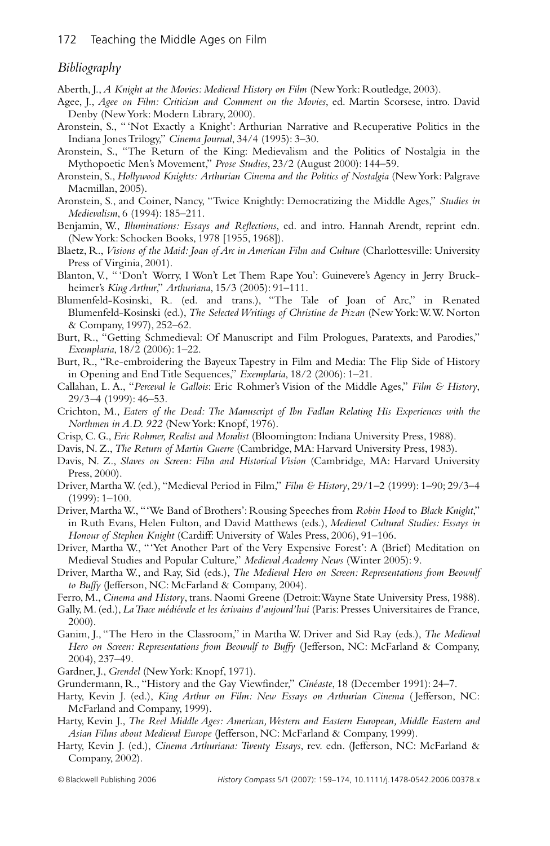### *Bibliography*

- Aberth, J., *A Knight at the Movies: Medieval History on Film* (New York: Routledge, 2003).
- Agee, J., *Agee on Film: Criticism and Comment on the Movies*, ed. Martin Scorsese, intro. David Denby (New York: Modern Library, 2000).
- Aronstein, S., " 'Not Exactly a Knight': Arthurian Narrative and Recuperative Politics in the Indiana Jones Trilogy," *Cinema Journal*, 34/4 (1995): 3–30.
- Aronstein, S., "The Return of the King: Medievalism and the Politics of Nostalgia in the Mythopoetic Men's Movement," *Prose Studies*, 23/2 (August 2000): 144–59.
- Aronstein, S., *Hollywood Knights: Arthurian Cinema and the Politics of Nostalgia* (New York: Palgrave Macmillan, 2005).
- Aronstein, S., and Coiner, Nancy, "Twice Knightly: Democratizing the Middle Ages," *Studies in Medievalism*, 6 (1994): 185–211.
- Benjamin, W., *Illuminations: Essays and Reflections*, ed. and intro. Hannah Arendt, reprint edn. (New York: Schocken Books, 1978 [1955, 1968]).
- Blaetz, R., *Visions of the Maid: Joan of Arc in American Film and Culture* (Charlottesville: University Press of Virginia, 2001).
- Blanton, V., " 'Don't Worry, I Won't Let Them Rape You': Guinevere's Agency in Jerry Bruckheimer's *King Arthur*," *Arthuriana*, 15/3 (2005): 91–111.
- Blumenfeld-Kosinski, R. (ed. and trans.), "The Tale of Joan of Arc," in Renated Blumenfeld-Kosinski (ed.), *The Selected Writings of Christine de Pizan* (New York:W.W. Norton & Company, 1997), 252–62.
- Burt, R., "Getting Schmedieval: Of Manuscript and Film Prologues, Paratexts, and Parodies," *Exemplaria*, 18/2 (2006): 1–22.
- Burt, R., "Re-embroidering the Bayeux Tapestry in Film and Media: The Flip Side of History in Opening and End Title Sequences," *Exemplaria*, 18/2 (2006): 1–21.
- Callahan, L. A., "*Perceval le Gallois*: Eric Rohmer's Vision of the Middle Ages," *Film & History*, 29/3–4 (1999): 46–53.
- Crichton, M., *Eaters of the Dead: The Manuscript of Ibn Fadlan Relating His Experiences with the Northmen in A.D. 922* (New York: Knopf, 1976).
- Crisp, C. G., *Eric Rohmer, Realist and Moralist* (Bloomington: Indiana University Press, 1988).
- Davis, N. Z., *The Return of Martin Guerre* (Cambridge, MA: Harvard University Press, 1983).
- Davis, N. Z., *Slaves on Screen: Film and Historical Vision* (Cambridge, MA: Harvard University Press, 2000).
- Driver, Martha W. (ed.), "Medieval Period in Film," *Film & History*, 29/1–2 (1999): 1–90; 29/3–4 (1999): 1–100.
- Driver, Martha W., "'We Band of Brothers': Rousing Speeches from *Robin Hood* to *Black Knight*," in Ruth Evans, Helen Fulton, and David Matthews (eds.), *Medieval Cultural Studies: Essays in Honour of Stephen Knight* (Cardiff: University of Wales Press, 2006), 91–106.
- Driver, Martha W., "'Yet Another Part of the Very Expensive Forest': A (Brief) Meditation on Medieval Studies and Popular Culture," *Medieval Academy News* (Winter 2005): 9.
- Driver, Martha W., and Ray, Sid (eds.), *The Medieval Hero on Screen: Representations from Beowulf to Buffy* (Jefferson, NC: McFarland & Company, 2004).
- Ferro, M., *Cinema and History*, trans. Naomi Greene (Detroit:Wayne State University Press, 1988).
- Gally, M. (ed.), *La Trace médiévale et les écrivains d'aujourd'hui* (Paris: Presses Universitaires de France, 2000).
- Ganim, J., "The Hero in the Classroom," in Martha W. Driver and Sid Ray (eds.), *The Medieval Hero on Screen: Representations from Beowulf to Buffy* (Jefferson, NC: McFarland & Company, 2004), 237–49.
- Gardner, J., *Grendel* (New York: Knopf, 1971).
- Grundermann, R., "History and the Gay Viewfinder," *Cinéaste*, 18 (December 1991): 24–7.
- Harty, Kevin J. (ed.), *King Arthur on Film: New Essays on Arthurian Cinema* ( Jefferson, NC: McFarland and Company, 1999).
- Harty, Kevin J., *The Reel Middle Ages: American,Western and Eastern European, Middle Eastern and Asian Films about Medieval Europe* (Jefferson, NC: McFarland & Company, 1999).
- Harty, Kevin J. (ed.), *Cinema Arthuriana: Twenty Essays*, rev. edn. (Jefferson, NC: McFarland & Company, 2002).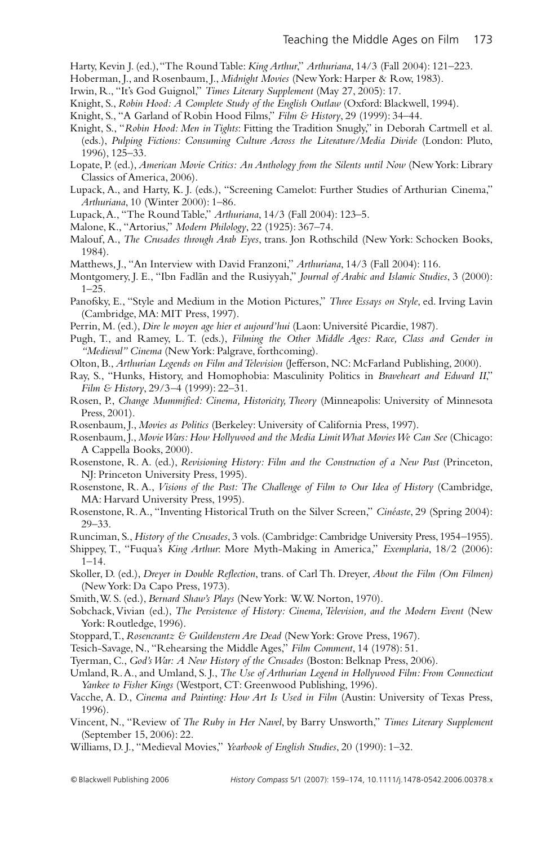Harty, Kevin J. (ed.),"The Round Table: *King Arthur*," *Arthuriana*, 14/3 (Fall 2004): 121–223.

- Hoberman, J., and Rosenbaum, J., *Midnight Movies* (New York: Harper & Row, 1983).
- Irwin, R., "It's God Guignol," *Times Literary Supplement* (May 27, 2005): 17.
- Knight, S., *Robin Hood: A Complete Study of the English Outlaw* (Oxford: Blackwell, 1994).
- Knight, S., "A Garland of Robin Hood Films," *Film & History*, 29 (1999): 34–44.
- Knight, S., "*Robin Hood: Men in Tights*: Fitting the Tradition Snugly," in Deborah Cartmell et al. (eds.), *Pulping Fictions: Consuming Culture Across the Literature/Media Divide* (London: Pluto, 1996), 125–33.
- Lopate, P. (ed.), *American Movie Critics: An Anthology from the Silents until Now* (New York: Library Classics of America, 2006).
- Lupack, A., and Harty, K. J. (eds.), "Screening Camelot: Further Studies of Arthurian Cinema," *Arthuriana*, 10 (Winter 2000): 1–86.
- Lupack,A., "The Round Table," *Arthuriana*, 14/3 (Fall 2004): 123–5.
- Malone, K., "Artorius," *Modern Philology*, 22 (1925): 367–74.
- Malouf, A., *The Crusades through Arab Eyes*, trans. Jon Rothschild (New York: Schocken Books, 1984).
- Matthews, J., "An Interview with David Franzoni," *Arthuriana*, 14/3 (Fall 2004): 116.
- Montgomery, J. E., "Ibn Fadlan and the Rusiyyah," *Journal of Arabic and Islamic Studies*, 3 (2000): 1–25.
- Panofsky, E., "Style and Medium in the Motion Pictures," *Three Essays on Style*, ed. Irving Lavin (Cambridge, MA: MIT Press, 1997).
- Perrin, M. (ed.), *Dire le moyen age hier et aujourd'hui* (Laon: Université Picardie, 1987).
- Pugh, T., and Ramey, L. T. (eds.), *Filming the Other Middle Ages: Race, Class and Gender in "Medieval" Cinema* (New York: Palgrave, forthcoming).
- Olton, B., *Arthurian Legends on Film and Television* (Jefferson, NC: McFarland Publishing, 2000).
- Ray, S., "Hunks, History, and Homophobia: Masculinity Politics in *Braveheart and Edward II*," *Film & History*, 29/3–4 (1999): 22–31.
- Rosen, P., *Change Mummified: Cinema, Historicity,Theory* (Minneapolis: University of Minnesota Press, 2001).
- Rosenbaum, J., *Movies as Politics* (Berkeley: University of California Press, 1997).
- Rosenbaum, J., *Movie Wars: How Hollywood and the Media Limit What Movies We Can See* (Chicago: A Cappella Books, 2000).
- Rosenstone, R. A. (ed.), *Revisioning History: Film and the Construction of a New Past* (Princeton, NJ: Princeton University Press, 1995).
- Rosenstone, R. A., *Visions of the Past: The Challenge of Film to Our Idea of History* (Cambridge, MA: Harvard University Press, 1995).
- Rosenstone, R.A., "Inventing Historical Truth on the Silver Screen," *Cinéaste*, 29 (Spring 2004): 29–33.
- Runciman, S., *History of the Crusades*, 3 vols. (Cambridge: Cambridge University Press, 1954–1955).
- Shippey, T., "Fuqua's *King Arthur*: More Myth-Making in America," *Exemplaria*, 18/2 (2006): 1–14.
- Skoller, D. (ed.), *Dreyer in Double Reflection*, trans. of Carl Th. Dreyer, *About the Film (Om Filmen)* (New York: Da Capo Press, 1973).
- Smith,W. S. (ed.), *Bernard Shaw's Plays* (New York: W.W. Norton, 1970).
- Sobchack,Vivian (ed.), *The Persistence of History: Cinema,Television, and the Modern Event* (New York: Routledge, 1996).
- Stoppard,T., *Rosencrantz & Guildenstern Are Dead* (New York: Grove Press, 1967).
- Tesich-Savage, N., "Rehearsing the Middle Ages," *Film Comment*, 14 (1978): 51.
- Tyerman, C., *God's War: A New History of the Crusades* (Boston: Belknap Press, 2006).
- Umland, R.A., and Umland, S. J., *The Use of Arthurian Legend in Hollywood Film: From Connecticut Yankee to Fisher Kings* (Westport, CT: Greenwood Publishing, 1996).
- Vacche, A. D., *Cinema and Painting: How Art Is Used in Film* (Austin: University of Texas Press, 1996).
- Vincent, N., "Review of *The Ruby in Her Navel*, by Barry Unsworth," *Times Literary Supplement* (September 15, 2006): 22.
- Williams, D. J., "Medieval Movies," *Yearbook of English Studies*, 20 (1990): 1–32.